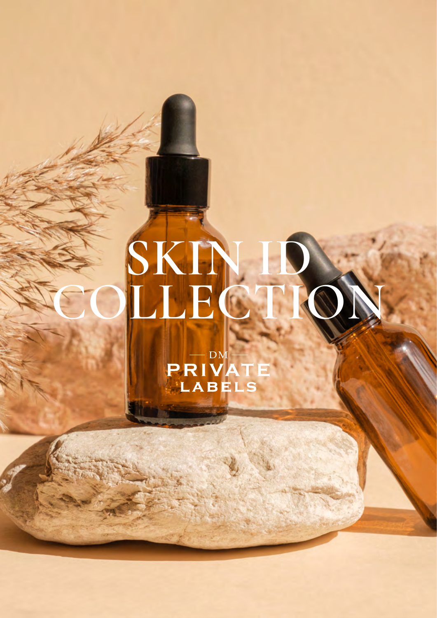# **SKIN ID COLLECTION**

PRIVAT<br>PRIVAT<br>LABELS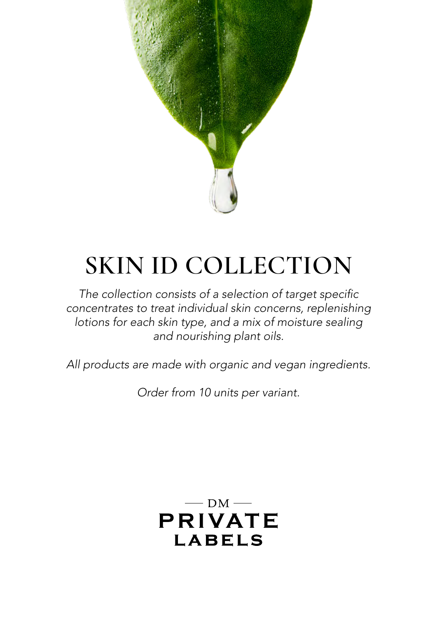

## **SKIN ID COLLECTION**

The collection consists of a selection of target specific *concentrates to treat individual skin concerns, replenishing lotions for each skin type, and a mix of moisture sealing and nourishing plant oils.*

*All products are made with organic and vegan ingredients.*

*Order from 10 units per variant.*

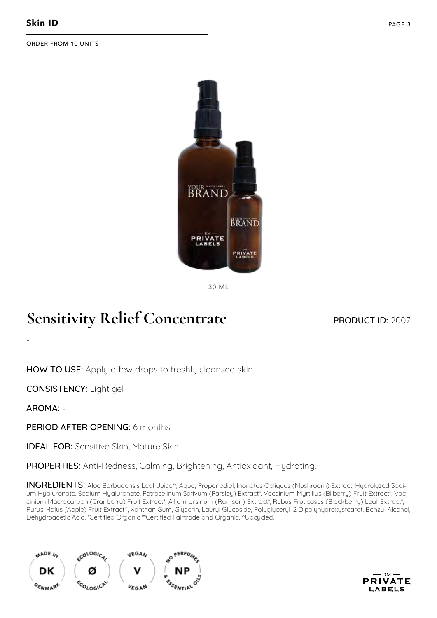

30 ML

#### **Sensitivity Relief Concentrate**

#### PRODUCT ID: 2007

HOW TO USE: Apply a few drops to freshly cleansed skin.

CONSISTENCY: Light gel

AROMA: -

-

PERIOD AFTER OPENING: 6 months

**IDEAL FOR:** Sensitive Skin, Mature Skin

PROPERTIES: Anti-Redness, Calming, Brightening, Antioxidant, Hydrating.

INGREDIENTS: Aloe Barbadensis Leaf Juice\*\*, Aqua, Propanediol, Inonotus Obliquus (Mushroom) Extract, Hydrolyzed Sodium Hyaluronate, Sodium Hyaluronate, Petroselinum Sativum (Parsley) Extract\*, Vaccinium Myrtillus (Bilberry) Fruit Extract\*, Vaccinium Macrocarpon (Cranberry) Fruit Extract\*, Allium Ursinum (Ramson) Extract\*, Rubus Fruticosus (Blackberry) Leaf Extract\*, Pyrus Malus (Apple) Fruit Extract^, Xanthan Gum, Glycerin, Lauryl Glucoside, Polyglyceryl-2 Dipolyhydroxystearat, Benzyl Alcohol, Dehydroacetic Acid. \*Certified Organic \*\*Certified Fairtrade and Organic. ^Upcycled.



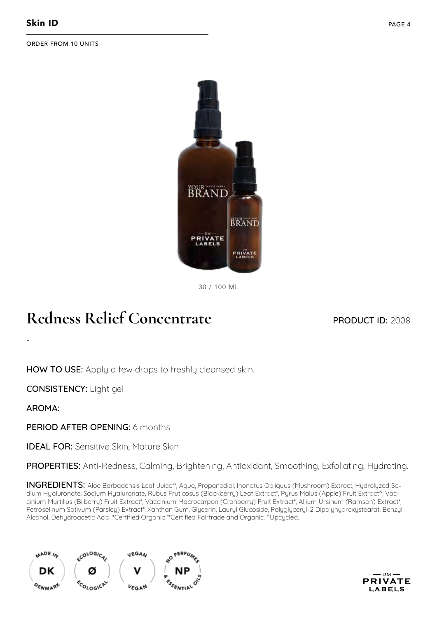

30 / 100 ML

## **Redness Relief Concentrate**

#### PRODUCT ID: 2008

HOW TO USE: Apply a few drops to freshly cleansed skin.

CONSISTENCY: Light gel

AROMA: -

-

PERIOD AFTER OPENING: 6 months

**IDEAL FOR:** Sensitive Skin, Mature Skin

PROPERTIES: Anti-Redness, Calming, Brightening, Antioxidant, Smoothing, Exfoliating, Hydrating.

INGREDIENTS: Aloe Barbadensis Leaf Juice\*\*, Aqua, Propanediol, Inonotus Obliquus (Mushroom) Extract, Hydrolyzed Sodium Hyaluronate, Sodium Hyaluronate, Rubus Fruticosus (Blackberry) Leaf Extract\*, Pyrus Malus (Apple) Fruit Extract^, Vaccinium Myrtillus (Bilberry) Fruit Extract\*, Vaccinium Macrocarpon (Cranberry) Fruit Extract\*, Allium Ursinum (Ramson) Extract\*, Petroselinum Sativum (Parsley) Extract\*, Xanthan Gum, Glycerin, Lauryl Glucoside, Polyglyceryl-2 Dipolyhydroxystearat, Benzyl Alcohol, Dehydroacetic Acid. \*Certified Organic \*\*Certified Fairtrade and Organic. ^Upcycled.



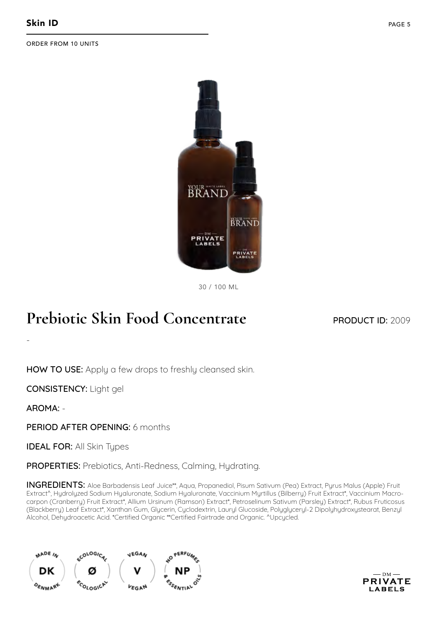

30 / 100 ML

## **Prebiotic Skin Food Concentrate**

PRODUCT ID: 2009

HOW TO USE: Apply a few drops to freshly cleansed skin.

CONSISTENCY: Light gel

AROMA: -

-

PERIOD AFTER OPENING: 6 months

**IDEAL FOR: All Skin Types** 

PROPERTIES: Prebiotics, Anti-Redness, Calming, Hydrating.

INGREDIENTS: Aloe Barbadensis Leaf Juice\*\*, Aqua, Propanediol, Pisum Sativum (Pea) Extract, Pyrus Malus (Apple) Fruit Extract^, Hydrolyzed Sodium Hyaluronate, Sodium Hyaluronate, Vaccinium Myrtillus (Bilberry) Fruit Extract\*, Vaccinium Macrocarpon (Cranberry) Fruit Extract\*, Allium Ursinum (Ramson) Extract\*, Petroselinum Sativum (Parsley) Extract\*, Rubus Fruticosus (Blackberry) Leaf Extract\*, Xanthan Gum, Glycerin, Cyclodextrin, Lauryl Glucoside, Polyglyceryl-2 Dipolyhydroxystearat, Benzyl Alcohol, Dehydroacetic Acid. \*Certified Organic \*\*Certified Fairtrade and Organic. ^Upcycled.



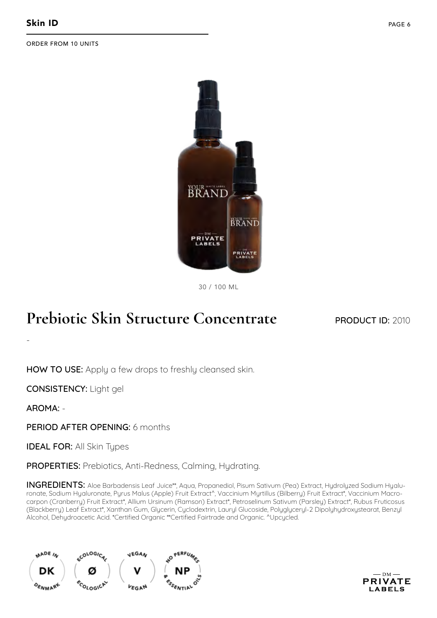

30 / 100 ML

## **Prebiotic Skin Structure Concentrate**

#### PRODUCT ID: 2010

HOW TO USE: Apply a few drops to freshly cleansed skin.

CONSISTENCY: Light gel

AROMA: -

-

PERIOD AFTER OPENING: 6 months

**IDEAL FOR: All Skin Types** 

PROPERTIES: Prebiotics, Anti-Redness, Calming, Hydrating.

INGREDIENTS: Aloe Barbadensis Leaf Juice\*\*, Aqua, Propanediol, Pisum Sativum (Pea) Extract, Hydrolyzed Sodium Hyaluronate, Sodium Hyaluronate, Pyrus Malus (Apple) Fruit Extract^, Vaccinium Myrtillus (Bilberry) Fruit Extract\*, Vaccinium Macrocarpon (Cranberry) Fruit Extract\*, Allium Ursinum (Ramson) Extract\*, Petroselinum Sativum (Parsley) Extract\*, Rubus Fruticosus (Blackberry) Leaf Extract\*, Xanthan Gum, Glycerin, Cyclodextrin, Lauryl Glucoside, Polyglyceryl-2 Dipolyhydroxystearat, Benzyl Alcohol, Dehydroacetic Acid. \*Certified Organic \*\*Certified Fairtrade and Organic. ^Upcycled.



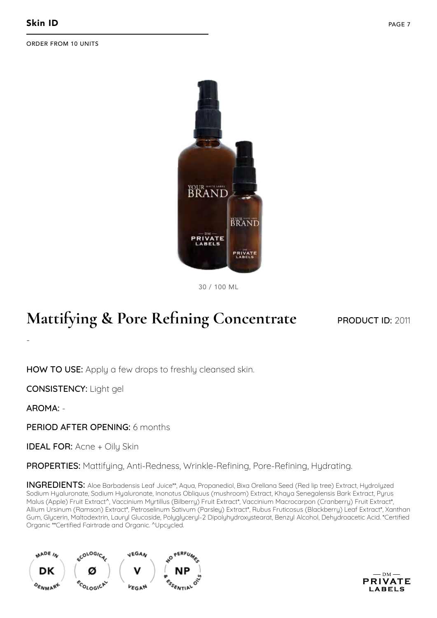

30 / 100 ML

## **Mattifying & Pore Refining Concentrate**

PRODUCT ID: 2011

HOW TO USE: Apply a few drops to freshly cleansed skin.

CONSISTENCY: Light gel

AROMA: -

-

PERIOD AFTER OPENING: 6 months

**IDEAL FOR: Acne + Oily Skin** 

PROPERTIES: Mattifying, Anti-Redness, Wrinkle-Refining, Pore-Refining, Hydrating.

INGREDIENTS: Aloe Barbadensis Leaf Juice\*\*, Aqua, Propanediol, Bixa Orellana Seed (Red lip tree) Extract, Hydrolyzed Sodium Hyaluronate, Sodium Hyaluronate, Inonotus Obliquus (mushroom) Extract, Khaya Senegalensis Bark Extract, Pyrus Malus (Apple) Fruit Extract<sup>^</sup>, Vaccinium Myrtillus (Bilberry) Fruit Extract\*, Vaccinium Macrocarpon (Cranberry) Fruit Extract\*, Allium Ursinum (Ramson) Extract\*, Petroselinum Sativum (Parsley) Extract\*, Rubus Fruticosus (Blackberry) Leaf Extract\*, Xanthan Gum, Glycerin, Maltodextrin, Lauryl Glucoside, Polyglyceryl-2 Dipolyhydroxystearat, Benzyl Alcohol, Dehydroacetic Acid. \*Certified Organic \*\*Certified Fairtrade and Organic. ^Upcycled.



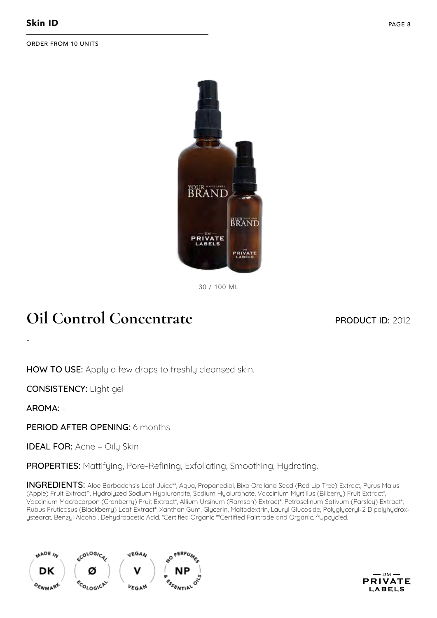

30 / 100 ML

## **Oil Control Concentrate**

#### PRODUCT ID: 2012

HOW TO USE: Apply a few drops to freshly cleansed skin.

CONSISTENCY: Light gel

AROMA: -

-

PERIOD AFTER OPENING: 6 months

**IDEAL FOR: Acne + Oily Skin** 

PROPERTIES: Mattifying, Pore-Refining, Exfoliating, Smoothing, Hydrating.

INGREDIENTS: Aloe Barbadensis Leaf Juice\*\*, Aqua, Propanediol, Bixa Orellana Seed (Red Lip Tree) Extract, Pyrus Malus (Apple) Fruit Extract^, Hydrolyzed Sodium Hyaluronate, Sodium Hyaluronate, Vaccinium Myrtillus (Bilberry) Fruit Extract\*, Vaccinium Macrocarpon (Cranberry) Fruit Extract\*, Allium Ursinum (Ramson) Extract\*, Petroselinum Sativum (Parsley) Extract\*, Rubus Fruticosus (Blackberry) Leaf Extract\*, Xanthan Gum, Glycerin, Maltodextrin, Lauryl Glucoside, Polyglyceryl-2 Dipolyhydroxystearat, Benzyl Alcohol, Dehydroacetic Acid. \*Certified Organic \*\*Certified Fairtrade and Organic. ^Upcycled.



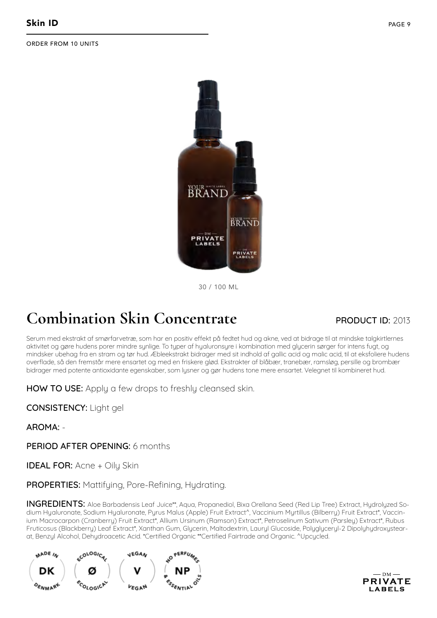

30 / 100 ML

## **Combination Skin Concentrate**

#### PRODUCT ID: 2013

Serum med ekstrakt af smørfarvetræ, som har en positiv effekt på fedtet hud og akne, ved at bidrage til at mindske talgkirtlernes aktivitet og gøre hudens porer mindre synlige. To typer af hyaluronsyre i kombination med glycerin sørger for intens fugt, og mindsker ubehag fra en stram og tør hud. Æbleekstrakt bidrager med sit indhold af gallic acid og malic acid, til at eksfoliere hudens overflade, så den fremstår mere ensartet og med en friskere glød. Ekstrakter af blåbær, tranebær, ramsløg, persille og brombær bidrager med potente antioxidante egenskaber, som lysner og gør hudens tone mere ensartet. Velegnet til kombineret hud.

HOW TO USE: Apply a few drops to freshly cleansed skin.

CONSISTENCY: Light gel

AROMA: -

PERIOD AFTER OPENING: 6 months

**IDEAL FOR: Acne + Oily Skin** 

PROPERTIES: Mattifying, Pore-Refining, Hydrating.

INGREDIENTS: Aloe Barbadensis Leaf Juice\*\*, Aqua, Propanediol, Bixa Orellana Seed (Red Lip Tree) Extract, Hydrolyzed Sodium Hyaluronate, Sodium Hyaluronate, Pyrus Malus (Apple) Fruit Extract^, Vaccinium Myrtillus (Bilberry) Fruit Extract\*, Vaccinium Macrocarpon (Cranberry) Fruit Extract\*, Allium Ursinum (Ramson) Extract\*, Petroselinum Sativum (Parsley) Extract\*, Rubus Fruticosus (Blackberry) Leaf Extract\*, Xanthan Gum, Glycerin, Maltodextrin, Lauryl Glucoside, Polyglyceryl-2 Dipolyhydroxystearat, Benzyl Alcohol, Dehydroacetic Acid. \*Certified Organic \*\*Certified Fairtrade and Organic. ^Upcycled.



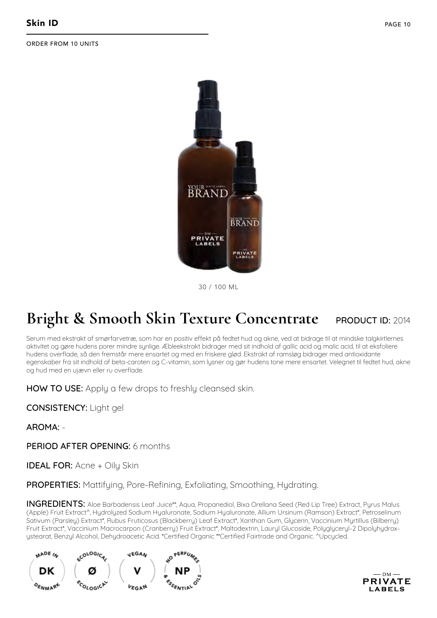

30 / 100 ML

#### **Bright & Smooth Skin Texture Concentrate** PRODUCT ID: 2014

Serum med ekstrakt af smørfarvetræ, som har en positiv effekt på fedtet hud og akne, ved at bidrage til at mindske talgkirtlernes aktivitet og gøre hudens porer mindre synlige. Æbleekstrakt bidrager med sit indhold af gallic acid og malic acid, til at eksfoliere hudens overflade, så den fremstår mere ensartet og med en friskere glød. Ekstrakt af ramsløg bidrager med antioxidante egenskaber fra sit indhold af beta-caroten og C-vitamin, som lysner og gør hudens tone mere ensartet. Velegnet til fedtet hud, akne og hud med en ujævn eller ru overflade.

HOW TO USE: Apply a few drops to freshly cleansed skin.

CONSISTENCY: Light gel

AROMA: -

PERIOD AFTER OPENING: 6 months

**IDEAL FOR: Acne + Oily Skin** 

PROPERTIES: Mattifying, Pore-Refining, Exfoliating, Smoothing, Hydrating.

INGREDIENTS: Aloe Barbadensis Leaf Juice\*\*, Aqua, Propanediol, Bixa Orellana Seed (Red Lip Tree) Extract, Pyrus Malus (Apple) Fruit Extract^, Hydrolyzed Sodium Hyaluronate, Sodium Hyaluronate, Allium Ursinum (Ramson) Extract\*, Petroselinum Sativum (Parsley) Extract\*, Rubus Fruticosus (Blackberry) Leaf Extract\*, Xanthan Gum, Glycerin, Vaccinium Myrtillus (Bilberry) Fruit Extract\*, Vaccinium Macrocarpon (Cranberry) Fruit Extract\*, Maltodextrin, Lauryl Glucoside, Polyglyceryl-2 Dipolyhydroxystearat, Benzyl Alcohol, Dehydroacetic Acid. \*Certified Organic \*\*Certified Fairtrade and Organic. ^Upcycled.



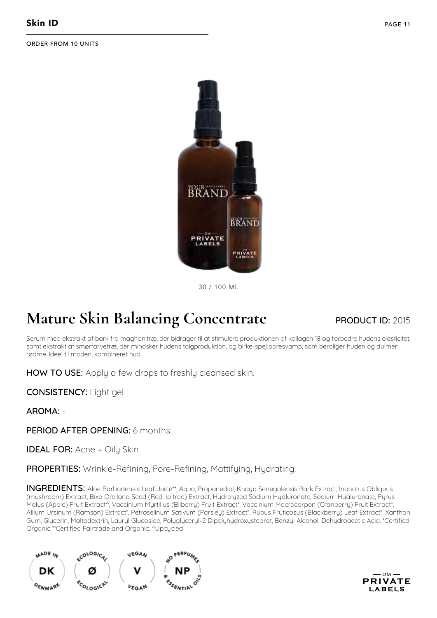

30 / 100 ML

## **Mature Skin Balancing Concentrate**

#### PRODUCT ID: 2015

Serum med ekstrakt af bark fra maghonitræ, der bidrager til at stimulere produktionen af kollagen 18 og forbedre hudens elasticitet, samt ekstrakt af smørfarvetræ, der mindsker hudens talgproduktion, og birke-spejlporesvamp, som beroliger huden og dulmer rødme. Ideel til moden, kombineret hud.

HOW TO USE: Apply a few drops to freshly cleansed skin.

CONSISTENCY: Light gel

AROMA: -

PERIOD AFTER OPENING: 6 months

**IDEAL FOR: Acne + Oily Skin** 

PROPERTIES: Wrinkle-Refining, Pore-Refining, Mattifying, Hydrating.

INGREDIENTS: Aloe Barbadensis Leaf Juice\*\*, Aqua, Propanediol, Khaya Senegalensis Bark Extract, Inonotus Obliquus (mushroom) Extract, Bixa Orellana Seed (Red lip tree) Extract, Hydrolyzed Sodium Hyaluronate, Sodium Hyaluronate, Pyrus Malus (Apple) Fruit Extract^, Vaccinium Myrtillus (Bilberry) Fruit Extract\*, Vaccinium Macrocarpon (Cranberry) Fruit Extract\*, Allium Ursinum (Ramson) Extract\*, Petroselinum Sativum (Parsley) Extract\*, Rubus Fruticosus (Blackberry) Leaf Extract\*, Xanthan Gum, Glycerin, Maltodextrin, Lauryl Glucoside, Polyglyceryl-2 Dipolyhydroxystearat, Benzyl Alcohol, Dehydroacetic Acid. \*Certified Organic \*\*Certified Fairtrade and Organic. ^Upcycled



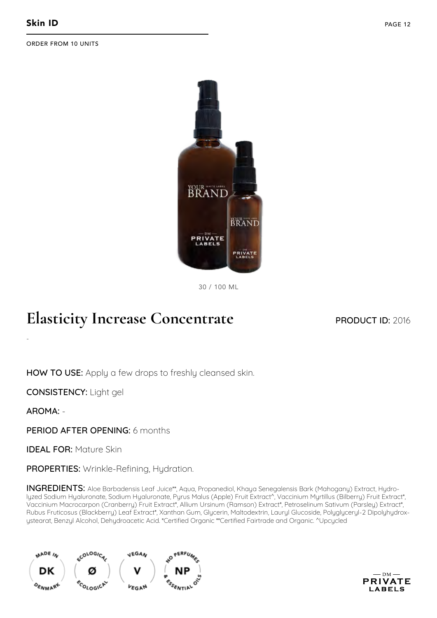

30 / 100 ML

#### **Elasticity Increase Concentrate**

PRODUCT ID: 2016

HOW TO USE: Apply a few drops to freshly cleansed skin.

CONSISTENCY: Light gel

AROMA: -

-

PERIOD AFTER OPENING: 6 months

IDEAL FOR: Mature Skin

PROPERTIES: Wrinkle-Refining, Hydration.

INGREDIENTS: Aloe Barbadensis Leaf Juice\*\*, Aqua, Propanediol, Khaya Senegalensis Bark (Mahogany) Extract, Hydrolyzed Sodium Hyaluronate, Sodium Hyaluronate, Pyrus Malus (Apple) Fruit Extract^, Vaccinium Myrtillus (Bilberry) Fruit Extract\*, Vaccinium Macrocarpon (Cranberry) Fruit Extract\*, Allium Ursinum (Ramson) Extract\*, Petroselinum Sativum (Parsley) Extract\*, Rubus Fruticosus (Blackberry) Leaf Extract\*, Xanthan Gum, Glycerin, Maltodextrin, Lauryl Glucoside, Polyglyceryl-2 Dipolyhydroxystearat, Benzyl Alcohol, Dehydroacetic Acid. \*Certified Organic \*\*Certified Fairtrade and Organic. ^Upcycled



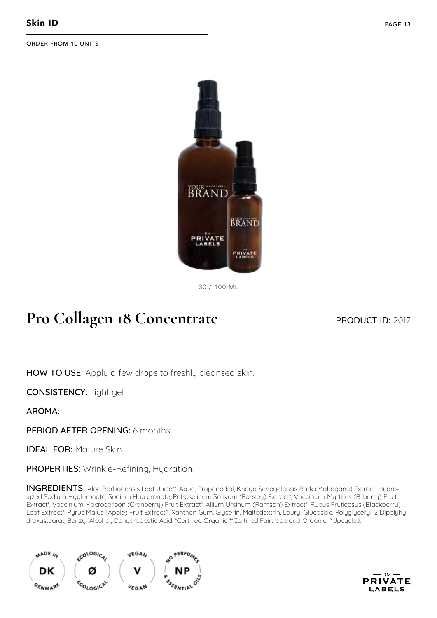

30 / 100 ML

#### **Pro Collagen 18 Concentrate**

PRODUCT ID: 2017

HOW TO USE: Apply a few drops to freshly cleansed skin.

CONSISTENCY: Light gel

AROMA: -

-

PERIOD AFTER OPENING: 6 months

IDEAL FOR: Mature Skin

PROPERTIES: Wrinkle-Refining, Hydration.

INGREDIENTS: Aloe Barbadensis Leaf Juice\*\*, Aqua, Propanediol, Khaya Senegalensis Bark (Mahogany) Extract, Hydrolyzed Sodium Hyaluronate, Sodium Hyaluronate, Petroselinum Sativum (Parsley) Extract\*, Vaccinium Myrtillus (Bilberry) Fruit Extract\*, Vaccinium Macrocarpon (Cranberry) Fruit Extract\*, Allium Ursinum (Ramson) Extract\*, Rubus Fruticosus (Blackberry) Leaf Extract\*, Pyrus Malus (Apple) Fruit Extract^, Xanthan Gum, Glycerin, Maltodextrin, Lauryl Glucoside, Polyglyceryl-2 Dipolyhydroxystearat, Benzyl Alcohol, Dehydroacetic Acid. \*Certified Organic \*\*Certified Fairtrade and Organic. ^Upcycled.



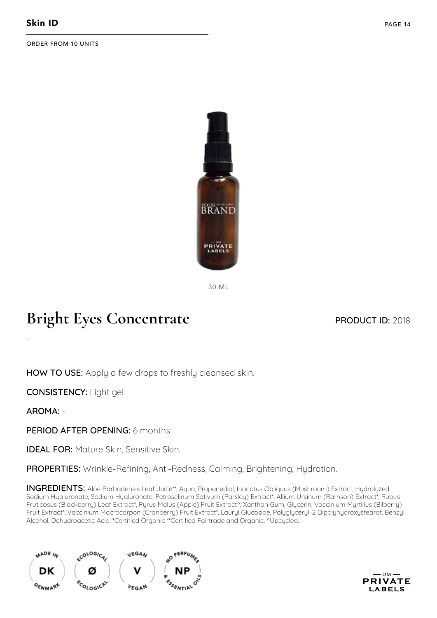

30 ML

## **Bright Eyes Concentrate**

#### PRODUCT ID: 2018

HOW TO USE: Apply a few drops to freshly cleansed skin.

CONSISTENCY: Light gel

AROMA: -

-

PERIOD AFTER OPENING: 6 months

**IDEAL FOR: Mature Skin, Sensitive Skin.** 

PROPERTIES: Wrinkle-Refining, Anti-Redness, Calming, Brightening, Hydration.

INGREDIENTS: Aloe Barbadensis Leaf Juice\*\*, Aqua, Propanediol, Inonotus Obliquus (Mushroom) Extract, Hydrolyzed Sodium Hyaluronate, Sodium Hyaluronate, Petroselinum Sativum (Parsley) Extract\*, Allium Ursinum (Ramson) Extract\*, Rubus Fruticosus (Blackberry) Leaf Extract\*, Pyrus Malus (Apple) Fruit Extract^, Xanthan Gum, Glycerin, Vaccinium Myrtillus (Bilberry) Fruit Extract\*, Vaccinium Macrocarpon (Cranberry) Fruit Extract\*, Lauryl Glucoside, Polyglyceryl-2 Dipolyhydroxystearat, Benzyl Alcohol, Dehydroacetic Acid. \*Certified Organic \*\*Certified Fairtrade and Organic. ^Upcycled.



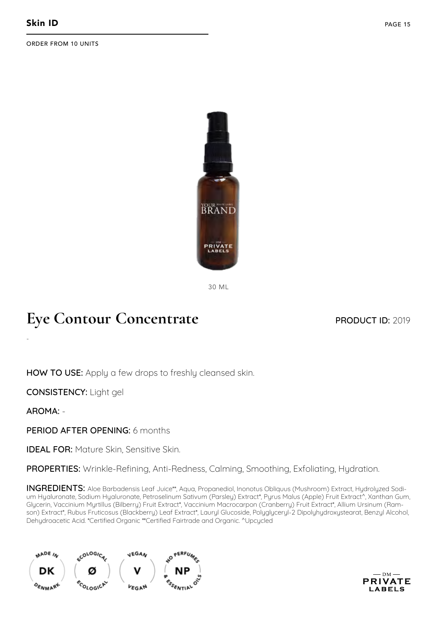

30 ML

## **Eye Contour Concentrate**

PRODUCT ID: 2019

HOW TO USE: Apply a few drops to freshly cleansed skin.

CONSISTENCY: Light gel

AROMA: -

-

PERIOD AFTER OPENING: 6 months

**IDEAL FOR: Mature Skin, Sensitive Skin.** 

PROPERTIES: Wrinkle-Refining, Anti-Redness, Calming, Smoothing, Exfoliating, Hydration.

INGREDIENTS: Aloe Barbadensis Leaf Juice\*\*, Aqua, Propanediol, Inonotus Obliquus (Mushroom) Extract, Hydrolyzed Sodium Hyaluronate, Sodium Hyaluronate, Petroselinum Sativum (Parsley) Extract\*, Pyrus Malus (Apple) Fruit Extract^, Xanthan Gum, Glycerin, Vaccinium Myrtillus (Bilberry) Fruit Extract\*, Vaccinium Macrocarpon (Cranberry) Fruit Extract\*, Allium Ursinum (Ramson) Extract\*, Rubus Fruticosus (Blackberry) Leaf Extract\*, Lauryl Glucoside, Polyglyceryl-2 Dipolyhydroxystearat, Benzyl Alcohol, Dehydroacetic Acid. \*Certified Organic \*\*Certified Fairtrade and Organic. ^Upcycled



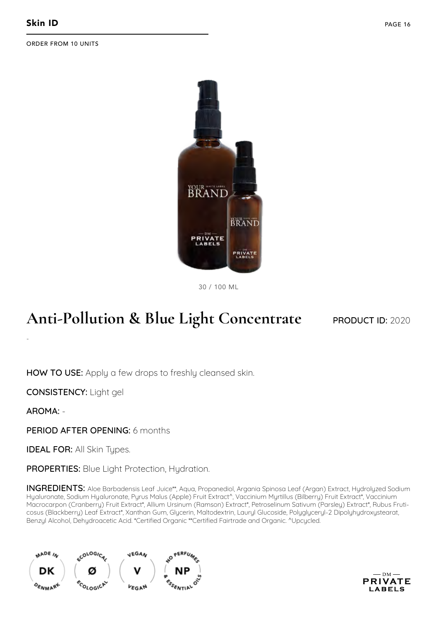

30 / 100 ML

## **Anti-Pollution & Blue Light Concentrate**

#### PRODUCT ID: 2020

HOW TO USE: Apply a few drops to freshly cleansed skin.

CONSISTENCY: Light gel

AROMA: -

-

PERIOD AFTER OPENING: 6 months

**IDEAL FOR: All Skin Types.** 

PROPERTIES: Blue Light Protection, Hydration.

INGREDIENTS: Aloe Barbadensis Leaf Juice\*\*, Aqua, Propanediol, Argania Spinosa Leaf (Argan) Extract, Hydrolyzed Sodium Hyaluronate, Sodium Hyaluronate, Pyrus Malus (Apple) Fruit Extract^, Vaccinium Myrtillus (Bilberry) Fruit Extract\*, Vaccinium Macrocarpon (Cranberry) Fruit Extract\*, Allium Ursinum (Ramson) Extract\*, Petroselinum Sativum (Parsley) Extract\*, Rubus Fruticosus (Blackberry) Leaf Extract\*, Xanthan Gum, Glycerin, Maltodextrin, Lauryl Glucoside, Polyglyceryl-2 Dipolyhydroxystearat, Benzyl Alcohol, Dehydroacetic Acid. \*Certified Organic \*\*Certified Fairtrade and Organic. ^Upcycled.



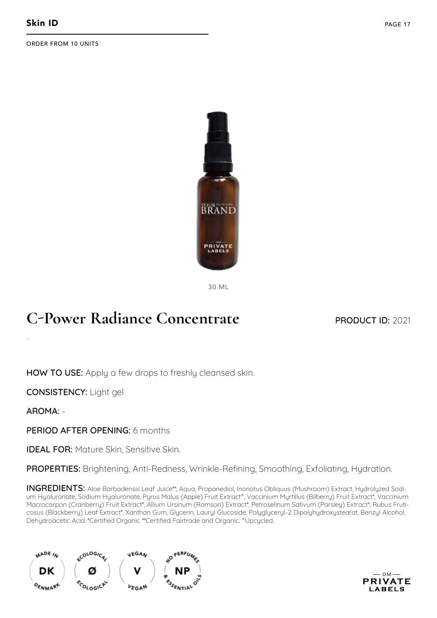

30 ML

#### **C-Power Radiance Concentrate**

PRODUCT ID: 2021

HOW TO USE: Apply a few drops to freshly cleansed skin.

CONSISTENCY: Light gel

AROMA: -

-

PERIOD AFTER OPENING: 6 months

**IDEAL FOR: Mature Skin, Sensitive Skin.** 

PROPERTIES: Brightening, Anti-Redness, Wrinkle-Refining, Smoothing, Exfoliating, Hydration.

INGREDIENTS: Aloe Barbadensis Leaf Juice\*\*, Aqua, Propanediol, Inonotus Obliquus (Mushroom) Extract, Hydrolyzed Sodium Hyaluronate, Sodium Hyaluronate, Pyrus Malus (Apple) Fruit Extract^, Vaccinium Myrtillus (Bilberry) Fruit Extract\*, Vaccinium Macrocarpon (Cranberry) Fruit Extract\*, Allium Ursinum (Ramson) Extract\*, Petroselinum Sativum (Parsley) Extract\*, Rubus Fruticosus (Blackberry) Leaf Extract\*, Xanthan Gum, Glycerin, Lauryl Glucoside, Polyglyceryl-2 Dipolyhydroxystearat, Benzyl Alcohol, Dehydroacetic Acid. \*Certified Organic \*\*Certified Fairtrade and Organic. ^Upcycled.



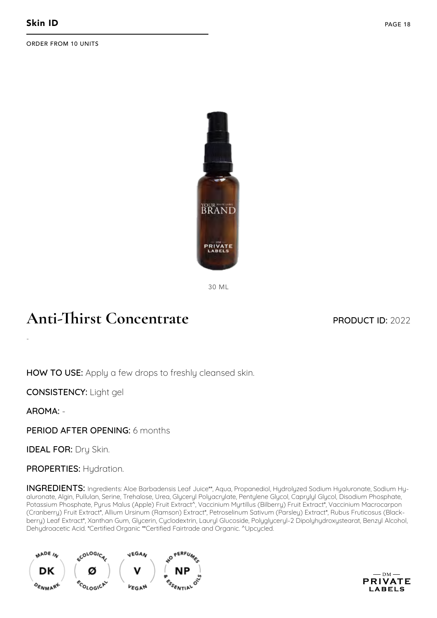

30 ML

#### **Anti-Thirst Concentrate**

#### PRODUCT ID: 2022

HOW TO USE: Apply a few drops to freshly cleansed skin.

CONSISTENCY: Light gel

AROMA: -

-

PERIOD AFTER OPENING: 6 months

**IDEAL FOR: Dry Skin.** 

PROPERTIES: Hydration.

INGREDIENTS: Ingredients: Aloe Barbadensis Leaf Juice\*\*, Aqua, Propanediol, Hydrolyzed Sodium Hyaluronate, Sodium Hyaluronate, Algin, Pullulan, Serine, Trehalose, Urea, Glyceryl Polyacrylate, Pentylene Glycol, Caprylyl Glycol, Disodium Phosphate, Potassium Phosphate, Pyrus Malus (Apple) Fruit Extract^, Vaccinium Myrtillus (Bilberry) Fruit Extract\*, Vaccinium Macrocarpon (Cranberry) Fruit Extract\*, Allium Ursinum (Ramson) Extract\*, Petroselinum Sativum (Parsley) Extract\*, Rubus Fruticosus (Blackberry) Leaf Extract\*, Xanthan Gum, Glycerin, Cyclodextrin, Lauryl Glucoside, Polyglyceryl-2 Dipolyhydroxystearat, Benzyl Alcohol, Dehydroacetic Acid. \*Certified Organic \*\*Certified Fairtrade and Organic. ^Upcycled.



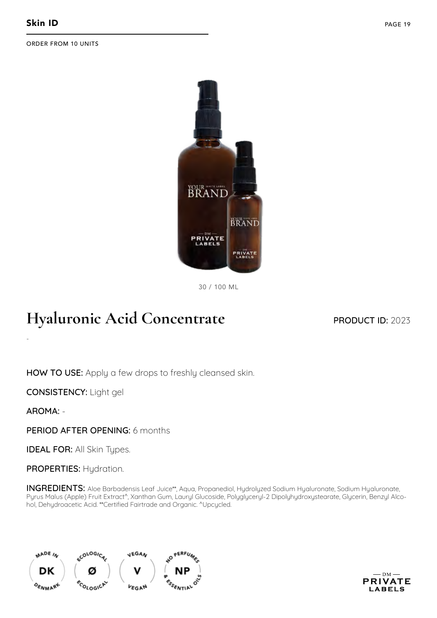

30 / 100 ML

## **Hyaluronic Acid Concentrate**

PRODUCT ID: 2023

HOW TO USE: Apply a few drops to freshly cleansed skin.

CONSISTENCY: Light gel

AROMA: -

-

PERIOD AFTER OPENING: 6 months

**IDEAL FOR: All Skin Types.** 

PROPERTIES: Hydration.

INGREDIENTS: Aloe Barbadensis Leaf Juice\*\*, Aqua, Propanediol, Hydrolyzed Sodium Hyaluronate, Sodium Hyaluronate, Pyrus Malus (Apple) Fruit Extract^, Xanthan Gum, Lauryl Glucoside, Polyglyceryl-2 Dipolyhydroxystearate, Glycerin, Benzyl Alcohol, Dehydroacetic Acid. \*\*Certified Fairtrade and Organic. ^Upcycled.



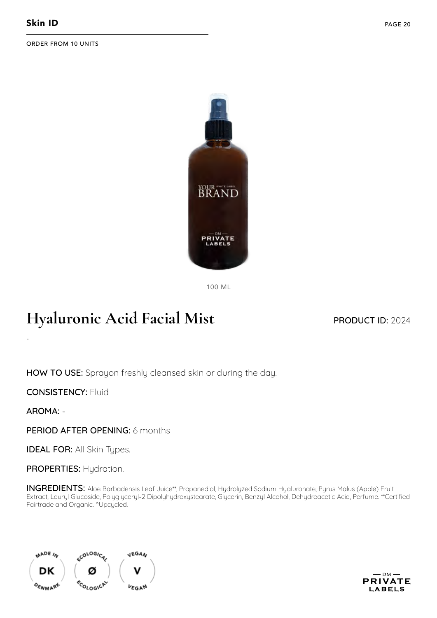

100 ML

## **Hyaluronic Acid Facial Mist**

PRODUCT ID: 2024

HOW TO USE: Sprayon freshly cleansed skin or during the day.

CONSISTENCY: Fluid

AROMA: -

-

PERIOD AFTER OPENING: 6 months

**IDEAL FOR: All Skin Types.** 

PROPERTIES: Hydration.

INGREDIENTS: Aloe Barbadensis Leaf Juice\*\*, Propanediol, Hydrolyzed Sodium Hyaluronate, Pyrus Malus (Apple) Fruit Extract, Lauryl Glucoside, Polyglyceryl-2 Dipolyhydroxystearate, Glycerin, Benzyl Alcohol, Dehydroacetic Acid, Perfume. \*\*Certified Fairtrade and Organic. <sup>^</sup>Upcycled.



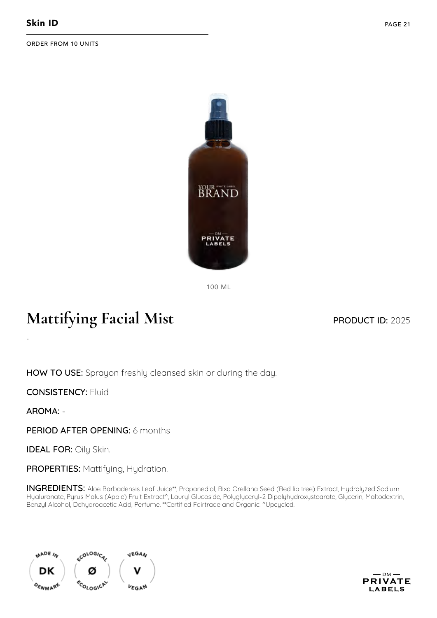

100 ML

## **Mattifying Facial Mist**

#### PRODUCT ID: 2025

HOW TO USE: Sprayon freshly cleansed skin or during the day.

CONSISTENCY: Fluid

AROMA: -

-

PERIOD AFTER OPENING: 6 months

IDEAL FOR: Oily Skin.

PROPERTIES: Mattifying, Hydration.

INGREDIENTS: Aloe Barbadensis Leaf Juice\*\*, Propanediol, Bixa Orellana Seed (Red lip tree) Extract, Hydrolyzed Sodium Hyaluronate, Pyrus Malus (Apple) Fruit Extract^, Lauryl Glucoside, Polyglyceryl-2 Dipolyhydroxystearate, Glycerin, Maltodextrin, Benzyl Alcohol, Dehydroacetic Acid, Perfume. \*\*Certified Fairtrade and Organic. ^Upcycled.



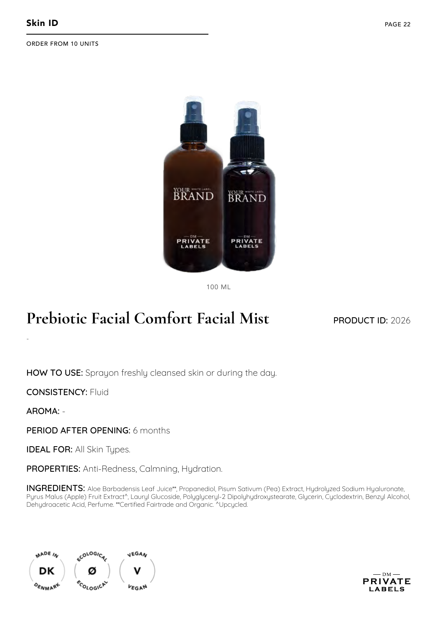

100 ML

## **Prebiotic Facial Comfort Facial Mist**

#### PRODUCT ID: 2026

HOW TO USE: Sprayon freshly cleansed skin or during the day.

CONSISTENCY: Fluid

AROMA: -

-

PERIOD AFTER OPENING: 6 months

**IDEAL FOR: All Skin Types.** 

PROPERTIES: Anti-Redness, Calmning, Hydration.

INGREDIENTS: Aloe Barbadensis Leaf Juice\*\*, Propanediol, Pisum Sativum (Pea) Extract, Hydrolyzed Sodium Hyaluronate, Pyrus Malus (Apple) Fruit Extract^, Lauryl Glucoside, Polyglyceryl-2 Dipolyhydroxystearate, Glycerin, Cyclodextrin, Benzyl Alcohol, Dehydroacetic Acid, Perfume. \*\*Certified Fairtrade and Organic. ^Upcycled.



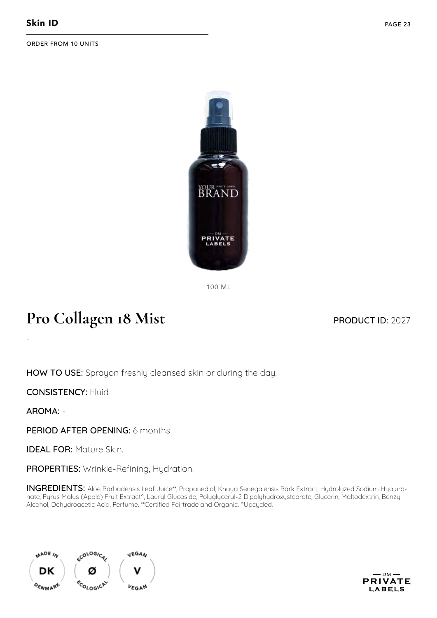

100 ML

## **Pro Collagen 18 Mist**

#### PRODUCT ID: 2027

HOW TO USE: Sprayon freshly cleansed skin or during the day.

CONSISTENCY: Fluid

AROMA: -

-

PFRIOD AFTER OPFNING: 6 months

IDEAL FOR: Mature Skin.

PROPERTIES: Wrinkle-Refining, Hydration.

INGREDIENTS: Aloe Barbadensis Leaf Juice\*\*, Propanediol, Khaya Senegalensis Bark Extract, Hydrolyzed Sodium Hyaluronate, Pyrus Malus (Apple) Fruit Extract^, Lauryl Glucoside, Polyglyceryl-2 Dipolyhydroxystearate, Glycerin, Maltodextrin, Benzyl Alcohol, Dehydroacetic Acid, Perfume. \*\*Certified Fairtrade and Organic. ^Upcycled.



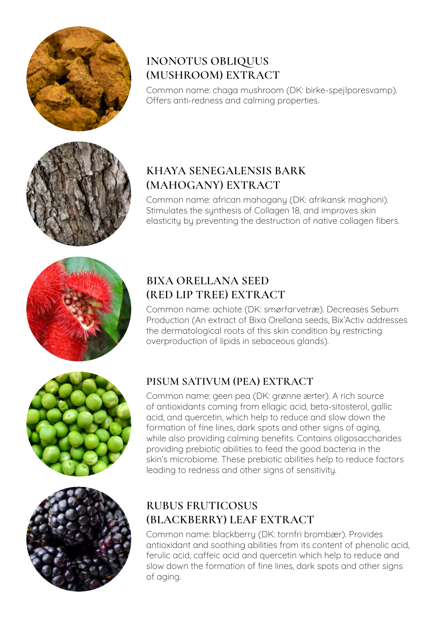

#### **INONOTUS OBLIQUUS (MUSHROOM) EXTRACT**

Common name: chaga mushroom (DK: birke-spejlporesvamp). Offers anti-redness and calming properties.



#### **KHAYA SENEGALENSIS BARK (MAHOGANY) EXTRACT**

Common name: african mahogany (DK: afrikansk maghoni). Stimulates the synthesis of Collagen 18, and improves skin elasticity by preventing the destruction of native collagen fibers.



#### **BIXA ORELLANA SEED (RED LIP TREE) EXTRACT**

Common name: achiote (DK: smørfarvetræ). Decreases Sebum Production (An extract of Bixa Orellana seeds, Bix'Activ addresses the dermatological roots of this skin condition by restricting overproduction of lipids in sebaceous glands).



#### **PISUM SATIVUM (PEA) EXTRACT**

Common name: geen pea (DK: grønne ærter). A rich source of antioxidants coming from ellagic acid, beta-sitosterol, gallic acid, and quercetin, which help to reduce and slow down the formation of fine lines, dark spots and other signs of aging, while also providing calming benefits. Contains oligosaccharides providing prebiotic abilities to feed the good bacteria in the skin's microbiome. These prebiotic abilities help to reduce factors leading to redness and other signs of sensitivity.



#### **RUBUS FRUTICOSUS (BLACKBERRY) LEAF EXTRACT**

Common name: blackberry (DK: tornfri brombær). Provides antioxidant and soothing abilities from its content of phenolic acid, ferulic acid, caffeic acid and quercetin which help to reduce and slow down the formation of fine lines, dark spots and other signs of aging.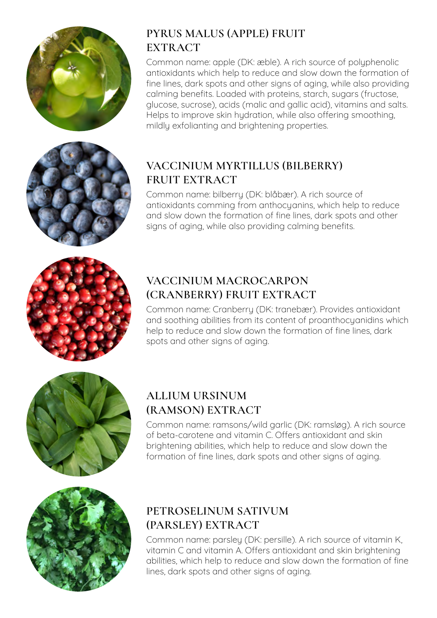

#### **PYRUS MALUS (APPLE) FRUIT EXTRACT**

Common name: apple (DK: æble). A rich source of polyphenolic antioxidants which help to reduce and slow down the formation of fine lines, dark spots and other signs of aging, while also providing calming benefits. Loaded with proteins, starch, sugars (fructose, glucose, sucrose), acids (malic and gallic acid), vitamins and salts. Helps to improve skin hydration, while also offering smoothing, mildly exfolianting and brightening properties.



#### **VACCINIUM MYRTILLUS (BILBERRY) FRUIT EXTRACT**

Common name: bilberry (DK: blåbær). A rich source of antioxidants comming from anthocyanins, which help to reduce and slow down the formation of fine lines, dark spots and other signs of aging, while also providing calming benefits.



#### **VACCINIUM MACROCARPON (CRANBERRY) FRUIT EXTRACT**

Common name: Cranberry (DK: tranebær). Provides antioxidant and soothing abilities from its content of proanthocyanidins which help to reduce and slow down the formation of fine lines, dark spots and other signs of aging.



#### **ALLIUM URSINUM (RAMSON) EXTRACT**

Common name: ramsons/wild garlic (DK: ramsløg). A rich source of beta-carotene and vitamin C. Offers antioxidant and skin brightening abilities, which help to reduce and slow down the formation of fine lines, dark spots and other signs of aging.



#### **PETROSELINUM SATIVUM (PARSLEY) EXTRACT**

Common name: parsley (DK: persille). A rich source of vitamin K, vitamin C and vitamin A. Offers antioxidant and skin brightening abilities, which help to reduce and slow down the formation of fine lines, dark spots and other signs of aging.